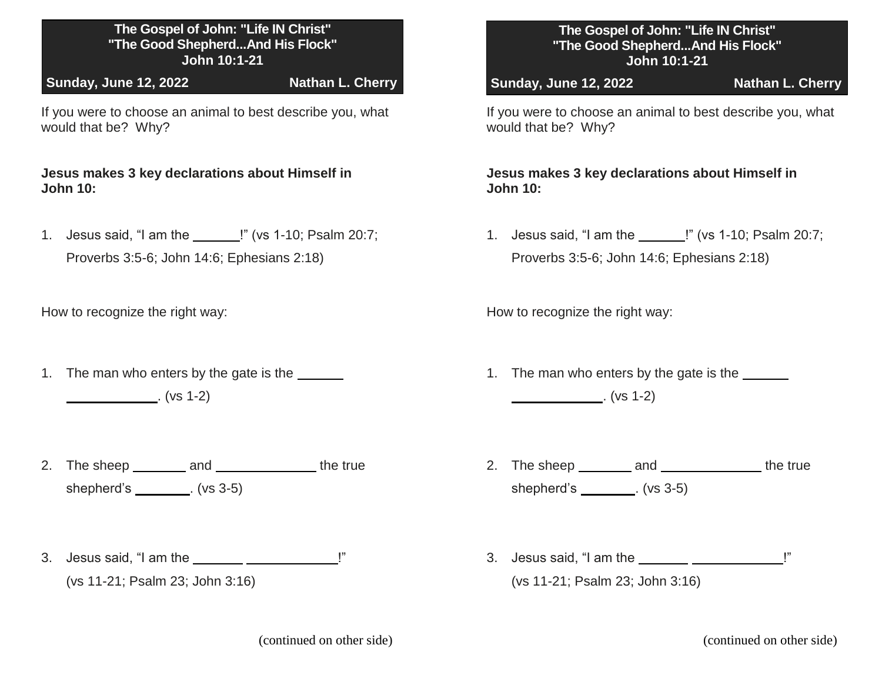## **The Gospel of John: "Life IN Christ" "The Good Shepherd...And His Flock" John 10:1-21**

**Sunday, June 12, 2022 Nathan L. Cherry**

If you were to choose an animal to best describe you, what would that be? Why?

**Jesus makes 3 key declarations about Himself in John 10:**

1. Jesus said, "I am the \_\_\_\_\_\_!" (vs 1-10; Psalm 20:7;

Proverbs 3:5-6; John 14:6; Ephesians 2:18)

How to recognize the right way:

- 1. The man who enters by the gate is the  $\frac{1}{\sqrt{1 + \left( \frac{1}{\sqrt{1 + \left( \frac{1}{\sqrt{1 + \left( \frac{1}{\sqrt{1 + \left( \frac{1}{\sqrt{1 + \left( \frac{1}{\sqrt{1 + \left( \frac{1}{\sqrt{1 + \left( \frac{1}{\sqrt{1 + \left( \frac{1}{\sqrt{1 + \left( \frac{1}{\sqrt{1 + \left( \frac{1}{\sqrt{1 + \left( \frac{1}{\sqrt{1 + \left( \frac{1}{\sqrt{1 + \left( \frac{1}{\sqrt{1 +$  $\frac{1}{1}$  (vs 1-2)
- 2. The sheep \_\_\_\_\_\_\_\_\_ and \_\_\_\_\_\_\_\_\_\_\_\_\_\_\_\_\_ the true shepherd's (vs 3-5)
- 3. Jesus said, "I am the  $\frac{1}{2}$   $\frac{1}{2}$   $\frac{1}{2}$   $\frac{1}{2}$   $\frac{1}{2}$   $\frac{1}{2}$   $\frac{1}{2}$   $\frac{1}{2}$   $\frac{1}{2}$   $\frac{1}{2}$   $\frac{1}{2}$   $\frac{1}{2}$   $\frac{1}{2}$   $\frac{1}{2}$   $\frac{1}{2}$   $\frac{1}{2}$   $\frac{1}{2}$   $\frac{1}{2}$   $\frac{1}{2}$   $\frac{1}{$ (vs 11-21; Psalm 23; John 3:16)

## **The Gospel of John: "Life IN Christ" "The Good Shepherd...And His Flock" John 10:1-21**

**Sunday, June 12, 2022 Nathan L. Cherry**

If you were to choose an animal to best describe you, what would that be? Why?

**Jesus makes 3 key declarations about Himself in John 10:**

1. Jesus said, "I am the \_\_\_\_\_\_!" (vs 1-10; Psalm 20:7;

Proverbs 3:5-6; John 14:6; Ephesians 2:18)

How to recognize the right way:

- 1. The man who enters by the gate is the  $\frac{1}{\sqrt{1 \frac{1}{\sqrt{1}}}}$  $\frac{1}{2}$  (vs 1-2)
- 2. The sheep \_\_\_\_\_\_\_\_ and \_\_\_\_\_\_\_\_\_\_\_\_\_\_ the true shepherd's (vs 3-5)
- 3. Jesus said, "I am the  $\frac{1}{1}$   $\frac{1}{1}$   $\frac{1}{1}$   $\frac{1}{1}$   $\frac{1}{1}$   $\frac{1}{1}$   $\frac{1}{1}$   $\frac{1}{1}$   $\frac{1}{1}$   $\frac{1}{1}$   $\frac{1}{1}$   $\frac{1}{1}$   $\frac{1}{1}$   $\frac{1}{1}$   $\frac{1}{1}$   $\frac{1}{1}$   $\frac{1}{1}$   $\frac{1}{1}$   $\frac{1}{1}$   $\frac{1}{$ (vs 11-21; Psalm 23; John 3:16)

(continued on other side) (continued on other side)